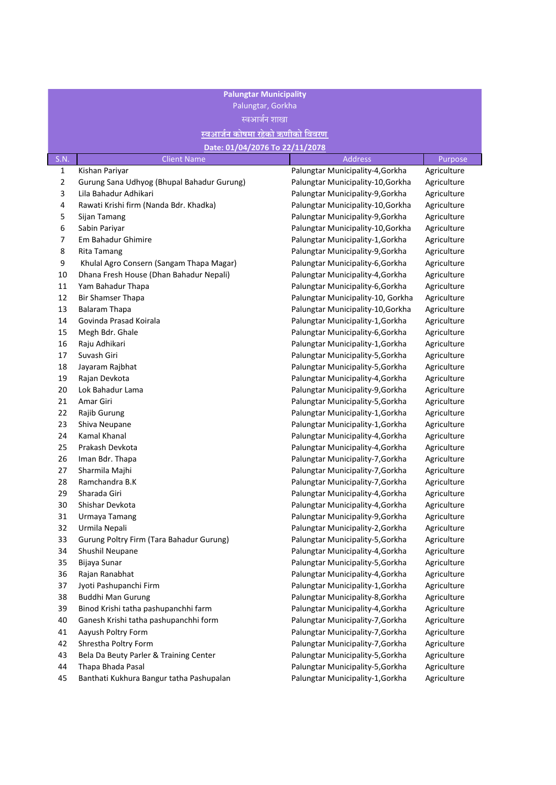| <b>Palungtar Municipality</b><br>Palungtar, Gorkha<br>स्वआर्जन शाखा |                                                             |                                                                      |                            |
|---------------------------------------------------------------------|-------------------------------------------------------------|----------------------------------------------------------------------|----------------------------|
|                                                                     | <u>स्वआर्जन कोषमा रहेको ऋणीको विवरण</u>                     |                                                                      |                            |
|                                                                     | Date: 01/04/2076 To 22/11/2078                              |                                                                      |                            |
| S.N.                                                                | <b>Client Name</b>                                          | <b>Address</b>                                                       | Purpose                    |
| $\mathbf{1}$                                                        | Kishan Pariyar                                              | Palungtar Municipality-4, Gorkha                                     | Agriculture                |
| $\mathbf 2$                                                         | Gurung Sana Udhyog (Bhupal Bahadur Gurung)                  | Palungtar Municipality-10, Gorkha                                    | Agriculture                |
| 3                                                                   | Lila Bahadur Adhikari                                       | Palungtar Municipality-9, Gorkha                                     | Agriculture                |
| 4                                                                   | Rawati Krishi firm (Nanda Bdr. Khadka)                      | Palungtar Municipality-10, Gorkha                                    | Agriculture                |
| 5                                                                   | Sijan Tamang                                                | Palungtar Municipality-9, Gorkha                                     | Agriculture                |
| 6                                                                   | Sabin Pariyar                                               | Palungtar Municipality-10, Gorkha                                    | Agriculture                |
| 7                                                                   | Em Bahadur Ghimire                                          | Palungtar Municipality-1, Gorkha                                     | Agriculture                |
| 8                                                                   | Rita Tamang                                                 | Palungtar Municipality-9, Gorkha                                     | Agriculture                |
| 9                                                                   | Khulal Agro Consern (Sangam Thapa Magar)                    | Palungtar Municipality-6, Gorkha                                     | Agriculture                |
| 10                                                                  | Dhana Fresh House (Dhan Bahadur Nepali)                     | Palungtar Municipality-4, Gorkha                                     | Agriculture                |
| 11                                                                  | Yam Bahadur Thapa                                           | Palungtar Municipality-6, Gorkha                                     | Agriculture                |
| 12                                                                  | Bir Shamser Thapa                                           | Palungtar Municipality-10, Gorkha                                    | Agriculture                |
| 13                                                                  | <b>Balaram Thapa</b>                                        | Palungtar Municipality-10, Gorkha                                    | Agriculture                |
| 14                                                                  | Govinda Prasad Koirala                                      | Palungtar Municipality-1, Gorkha                                     | Agriculture                |
| 15                                                                  | Megh Bdr. Ghale                                             | Palungtar Municipality-6, Gorkha                                     | Agriculture                |
| 16                                                                  | Raju Adhikari                                               | Palungtar Municipality-1, Gorkha                                     | Agriculture                |
| 17                                                                  | Suvash Giri                                                 | Palungtar Municipality-5, Gorkha                                     | Agriculture                |
| 18                                                                  | Jayaram Rajbhat                                             | Palungtar Municipality-5, Gorkha                                     | Agriculture                |
| 19                                                                  | Rajan Devkota                                               | Palungtar Municipality-4, Gorkha                                     | Agriculture                |
| 20                                                                  | Lok Bahadur Lama                                            | Palungtar Municipality-9, Gorkha                                     | Agriculture                |
| 21                                                                  | Amar Giri                                                   | Palungtar Municipality-5, Gorkha                                     | Agriculture                |
| 22                                                                  | Rajib Gurung                                                | Palungtar Municipality-1, Gorkha                                     | Agriculture                |
| 23                                                                  | Shiva Neupane                                               | Palungtar Municipality-1, Gorkha                                     | Agriculture                |
| 24                                                                  | Kamal Khanal                                                | Palungtar Municipality-4, Gorkha                                     | Agriculture                |
| 25                                                                  | Prakash Devkota                                             | Palungtar Municipality-4, Gorkha                                     | Agriculture                |
| 26                                                                  | Iman Bdr. Thapa                                             | Palungtar Municipality-7, Gorkha                                     | Agriculture                |
| 27                                                                  | Sharmila Majhi                                              | Palungtar Municipality-7, Gorkha                                     | Agriculture                |
| 28                                                                  | Ramchandra B.K                                              | Palungtar Municipality-7, Gorkha                                     | Agriculture                |
| 29                                                                  | Sharada Giri                                                | Palungtar Municipality-4, Gorkha                                     | Agriculture                |
| 30                                                                  | Shishar Devkota                                             | Palungtar Municipality-4, Gorkha                                     | Agriculture                |
| 31                                                                  | Urmaya Tamang                                               | Palungtar Municipality-9, Gorkha                                     | Agriculture                |
| 32                                                                  | Urmila Nepali                                               | Palungtar Municipality-2, Gorkha                                     | Agriculture                |
| 33                                                                  | Gurung Poltry Firm (Tara Bahadur Gurung)                    | Palungtar Municipality-5, Gorkha                                     | Agriculture                |
| 34                                                                  | Shushil Neupane                                             | Palungtar Municipality-4, Gorkha                                     | Agriculture                |
| 35                                                                  | Bijaya Sunar                                                | Palungtar Municipality-5, Gorkha                                     | Agriculture                |
| 36                                                                  | Rajan Ranabhat                                              | Palungtar Municipality-4, Gorkha                                     | Agriculture                |
| 37                                                                  | Jyoti Pashupanchi Firm                                      | Palungtar Municipality-1, Gorkha                                     | Agriculture                |
| 38                                                                  | <b>Buddhi Man Gurung</b>                                    | Palungtar Municipality-8, Gorkha                                     | Agriculture                |
| 39                                                                  | Binod Krishi tatha pashupanchhi farm                        | Palungtar Municipality-4, Gorkha                                     | Agriculture                |
| 40                                                                  | Ganesh Krishi tatha pashupanchhi form                       | Palungtar Municipality-7, Gorkha                                     | Agriculture                |
| 41                                                                  | Aayush Poltry Form                                          | Palungtar Municipality-7, Gorkha                                     | Agriculture                |
| 42                                                                  | Shrestha Poltry Form                                        | Palungtar Municipality-7, Gorkha                                     | Agriculture                |
| 43<br>44                                                            | Bela Da Beuty Parler & Training Center<br>Thapa Bhada Pasal | Palungtar Municipality-5, Gorkha<br>Palungtar Municipality-5, Gorkha | Agriculture                |
| 45                                                                  |                                                             |                                                                      | Agriculture<br>Agriculture |
|                                                                     | Banthati Kukhura Bangur tatha Pashupalan                    | Palungtar Municipality-1, Gorkha                                     |                            |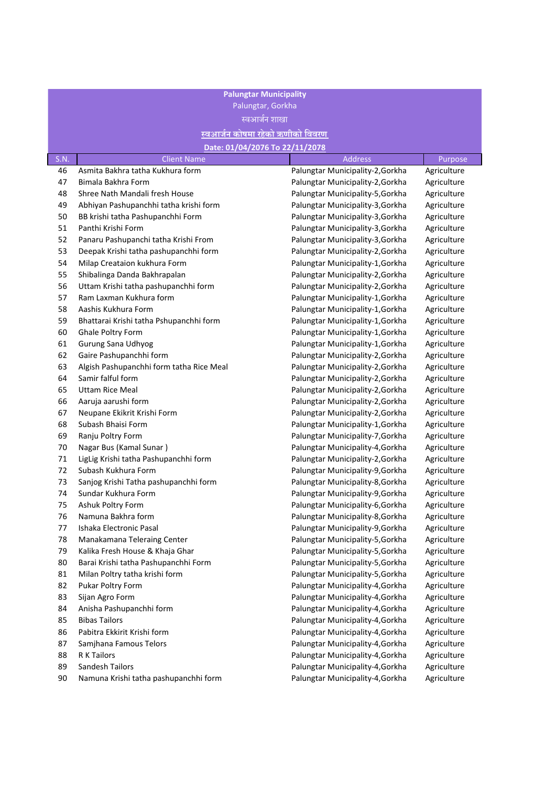| <b>Palungtar Municipality</b><br>Palungtar, Gorkha |                                          |                                  |             |  |
|----------------------------------------------------|------------------------------------------|----------------------------------|-------------|--|
|                                                    |                                          | <u>स्वआर्जन शाखा</u>             |             |  |
|                                                    | स्वआर्जन कोषमा रहेको ऋणीको विवरण         |                                  |             |  |
|                                                    |                                          | Date: 01/04/2076 To 22/11/2078   |             |  |
| S.N.                                               | <b>Client Name</b>                       | <b>Address</b>                   | Purpose     |  |
| 46                                                 | Asmita Bakhra tatha Kukhura form         | Palungtar Municipality-2, Gorkha | Agriculture |  |
| 47                                                 | Bimala Bakhra Form                       | Palungtar Municipality-2, Gorkha | Agriculture |  |
| 48                                                 | Shree Nath Mandali fresh House           | Palungtar Municipality-5, Gorkha | Agriculture |  |
| 49                                                 | Abhiyan Pashupanchhi tatha krishi form   | Palungtar Municipality-3, Gorkha | Agriculture |  |
| 50                                                 | BB krishi tatha Pashupanchhi Form        | Palungtar Municipality-3, Gorkha | Agriculture |  |
| 51                                                 | Panthi Krishi Form                       | Palungtar Municipality-3, Gorkha | Agriculture |  |
| 52                                                 | Panaru Pashupanchi tatha Krishi From     | Palungtar Municipality-3, Gorkha | Agriculture |  |
| 53                                                 | Deepak Krishi tatha pashupanchhi form    | Palungtar Municipality-2, Gorkha | Agriculture |  |
| 54                                                 | Milap Creataion kukhura Form             | Palungtar Municipality-1, Gorkha | Agriculture |  |
| 55                                                 | Shibalinga Danda Bakhrapalan             | Palungtar Municipality-2, Gorkha | Agriculture |  |
| 56                                                 | Uttam Krishi tatha pashupanchhi form     | Palungtar Municipality-2, Gorkha | Agriculture |  |
| 57                                                 | Ram Laxman Kukhura form                  | Palungtar Municipality-1, Gorkha | Agriculture |  |
| 58                                                 | Aashis Kukhura Form                      | Palungtar Municipality-1, Gorkha | Agriculture |  |
| 59                                                 | Bhattarai Krishi tatha Pshupanchhi form  | Palungtar Municipality-1, Gorkha | Agriculture |  |
| 60                                                 | Ghale Poltry Form                        | Palungtar Municipality-1, Gorkha | Agriculture |  |
| 61                                                 | Gurung Sana Udhyog                       | Palungtar Municipality-1, Gorkha | Agriculture |  |
| 62                                                 | Gaire Pashupanchhi form                  | Palungtar Municipality-2, Gorkha | Agriculture |  |
| 63                                                 | Algish Pashupanchhi form tatha Rice Meal | Palungtar Municipality-2, Gorkha | Agriculture |  |
| 64                                                 | Samir falful form                        | Palungtar Municipality-2, Gorkha | Agriculture |  |
| 65                                                 | <b>Uttam Rice Meal</b>                   | Palungtar Municipality-2, Gorkha | Agriculture |  |
| 66                                                 | Aaruja aarushi form                      | Palungtar Municipality-2, Gorkha | Agriculture |  |
| 67                                                 | Neupane Ekikrit Krishi Form              | Palungtar Municipality-2, Gorkha | Agriculture |  |
| 68                                                 | Subash Bhaisi Form                       | Palungtar Municipality-1, Gorkha | Agriculture |  |
| 69                                                 | Ranju Poltry Form                        | Palungtar Municipality-7, Gorkha | Agriculture |  |
| 70                                                 | Nagar Bus (Kamal Sunar)                  | Palungtar Municipality-4, Gorkha | Agriculture |  |
| 71                                                 | LigLig Krishi tatha Pashupanchhi form    | Palungtar Municipality-2, Gorkha | Agriculture |  |
| 72                                                 | Subash Kukhura Form                      | Palungtar Municipality-9, Gorkha | Agriculture |  |
| 73                                                 | Sanjog Krishi Tatha pashupanchhi form    | Palungtar Municipality-8, Gorkha | Agriculture |  |
| 74                                                 | Sundar Kukhura Form                      | Palungtar Municipality-9, Gorkha | Agriculture |  |
| 75                                                 | Ashuk Poltry Form                        | Palungtar Municipality-6, Gorkha | Agriculture |  |
| 76                                                 | Namuna Bakhra form                       | Palungtar Municipality-8, Gorkha | Agriculture |  |
| 77                                                 | Ishaka Electronic Pasal                  | Palungtar Municipality-9, Gorkha | Agriculture |  |
| 78                                                 | Manakamana Teleraing Center              | Palungtar Municipality-5, Gorkha | Agriculture |  |
| 79                                                 | Kalika Fresh House & Khaja Ghar          | Palungtar Municipality-5, Gorkha | Agriculture |  |
| 80                                                 | Barai Krishi tatha Pashupanchhi Form     | Palungtar Municipality-5, Gorkha | Agriculture |  |
| 81                                                 | Milan Poltry tatha krishi form           | Palungtar Municipality-5, Gorkha | Agriculture |  |
| 82                                                 | Pukar Poltry Form                        | Palungtar Municipality-4, Gorkha | Agriculture |  |
| 83                                                 | Sijan Agro Form                          | Palungtar Municipality-4, Gorkha | Agriculture |  |
| 84                                                 | Anisha Pashupanchhi form                 | Palungtar Municipality-4, Gorkha | Agriculture |  |
| 85                                                 | <b>Bibas Tailors</b>                     | Palungtar Municipality-4, Gorkha | Agriculture |  |
| 86                                                 | Pabitra Ekkirit Krishi form              | Palungtar Municipality-4, Gorkha | Agriculture |  |
| 87                                                 | Samjhana Famous Telors                   | Palungtar Municipality-4, Gorkha | Agriculture |  |
| 88                                                 | R K Tailors                              | Palungtar Municipality-4, Gorkha | Agriculture |  |
| 89                                                 | Sandesh Tailors                          | Palungtar Municipality-4, Gorkha | Agriculture |  |
|                                                    |                                          |                                  |             |  |

90 Namuna Krishi tatha pashupanchhi form **Palungtar Municipality-4,Gorkha** Agriculture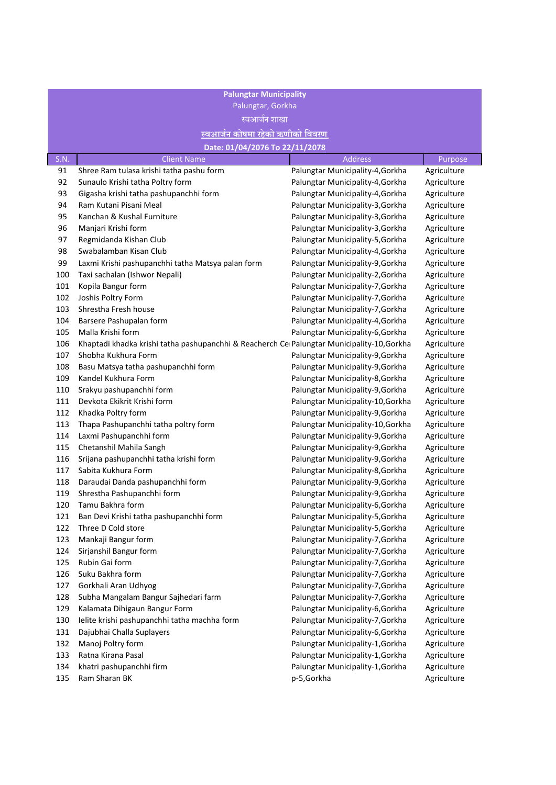| <b>Palungtar Municipality</b> |                                                                                            |                                   |             |
|-------------------------------|--------------------------------------------------------------------------------------------|-----------------------------------|-------------|
| Palungtar, Gorkha             |                                                                                            |                                   |             |
|                               | स्वआर्जन शाखा                                                                              |                                   |             |
|                               | <u>स्वआर्जन कोषमा रहेको ऋणीको विवरण</u>                                                    |                                   |             |
|                               | Date: 01/04/2076 To 22/11/2078                                                             |                                   |             |
| S.N.                          | <b>Client Name</b>                                                                         | <b>Address</b>                    | Purpose     |
| 91                            | Shree Ram tulasa krishi tatha pashu form                                                   | Palungtar Municipality-4, Gorkha  | Agriculture |
| 92                            | Sunaulo Krishi tatha Poltry form                                                           | Palungtar Municipality-4, Gorkha  | Agriculture |
| 93                            | Gigasha krishi tatha pashupanchhi form                                                     | Palungtar Municipality-4, Gorkha  | Agriculture |
| 94                            | Ram Kutani Pisani Meal                                                                     | Palungtar Municipality-3, Gorkha  | Agriculture |
| 95                            | Kanchan & Kushal Furniture                                                                 | Palungtar Municipality-3, Gorkha  | Agriculture |
| 96                            | Manjari Krishi form                                                                        | Palungtar Municipality-3, Gorkha  | Agriculture |
| 97                            | Regmidanda Kishan Club                                                                     | Palungtar Municipality-5, Gorkha  | Agriculture |
| 98                            | Swabalamban Kisan Club                                                                     | Palungtar Municipality-4, Gorkha  | Agriculture |
| 99                            | Laxmi Krishi pashupanchhi tatha Matsya palan form                                          | Palungtar Municipality-9, Gorkha  | Agriculture |
| 100                           | Taxi sachalan (Ishwor Nepali)                                                              | Palungtar Municipality-2, Gorkha  | Agriculture |
| 101                           | Kopila Bangur form                                                                         | Palungtar Municipality-7, Gorkha  | Agriculture |
| 102                           | Joshis Poltry Form                                                                         | Palungtar Municipality-7, Gorkha  | Agriculture |
| 103                           | Shrestha Fresh house                                                                       | Palungtar Municipality-7, Gorkha  | Agriculture |
| 104                           | Barsere Pashupalan form                                                                    | Palungtar Municipality-4, Gorkha  | Agriculture |
| 105                           | Malla Krishi form                                                                          | Palungtar Municipality-6, Gorkha  | Agriculture |
| 106                           | Khaptadi khadka krishi tatha pashupanchhi & Reacherch Ce Palungtar Municipality-10, Gorkha |                                   | Agriculture |
| 107                           | Shobha Kukhura Form                                                                        | Palungtar Municipality-9, Gorkha  | Agriculture |
| 108                           | Basu Matsya tatha pashupanchhi form                                                        | Palungtar Municipality-9, Gorkha  | Agriculture |
| 109                           | Kandel Kukhura Form                                                                        | Palungtar Municipality-8, Gorkha  | Agriculture |
| 110                           | Srakyu pashupanchhi form                                                                   | Palungtar Municipality-9, Gorkha  | Agriculture |
| 111                           | Devkota Ekikrit Krishi form                                                                | Palungtar Municipality-10, Gorkha | Agriculture |
| 112                           | Khadka Poltry form                                                                         | Palungtar Municipality-9, Gorkha  | Agriculture |
| 113                           | Thapa Pashupanchhi tatha poltry form                                                       | Palungtar Municipality-10, Gorkha | Agriculture |
| 114                           | Laxmi Pashupanchhi form                                                                    | Palungtar Municipality-9, Gorkha  | Agriculture |
| 115                           | Chetanshil Mahila Sangh                                                                    | Palungtar Municipality-9, Gorkha  | Agriculture |
| 116                           | Srijana pashupanchhi tatha krishi form                                                     | Palungtar Municipality-9, Gorkha  | Agriculture |
| 117                           | Sabita Kukhura Form                                                                        | Palungtar Municipality-8, Gorkha  | Agriculture |
| 118                           | Daraudai Danda pashupanchhi form                                                           | Palungtar Municipality-9, Gorkha  | Agriculture |
| 119                           | Shrestha Pashupanchhi form                                                                 | Palungtar Municipality-9, Gorkha  | Agriculture |
| 120                           | Tamu Bakhra form                                                                           | Palungtar Municipality-6, Gorkha  | Agriculture |
| 121                           | Ban Devi Krishi tatha pashupanchhi form                                                    | Palungtar Municipality-5, Gorkha  | Agriculture |
| 122                           | Three D Cold store                                                                         | Palungtar Municipality-5, Gorkha  | Agriculture |
| 123                           | Mankaji Bangur form                                                                        | Palungtar Municipality-7, Gorkha  | Agriculture |
| 124                           | Sirjanshil Bangur form                                                                     | Palungtar Municipality-7, Gorkha  | Agriculture |
| 125                           | Rubin Gai form                                                                             | Palungtar Municipality-7, Gorkha  | Agriculture |
| 126                           | Suku Bakhra form                                                                           | Palungtar Municipality-7, Gorkha  | Agriculture |
| 127                           | Gorkhali Aran Udhyog                                                                       | Palungtar Municipality-7, Gorkha  | Agriculture |
| 128                           | Subha Mangalam Bangur Sajhedari farm                                                       | Palungtar Municipality-7, Gorkha  | Agriculture |
| 129                           | Kalamata Dihigaun Bangur Form                                                              | Palungtar Municipality-6, Gorkha  | Agriculture |
| 130                           | Ielite krishi pashupanchhi tatha machha form                                               | Palungtar Municipality-7, Gorkha  | Agriculture |
| 131                           | Dajubhai Challa Suplayers                                                                  | Palungtar Municipality-6, Gorkha  | Agriculture |
| 132                           | Manoj Poltry form                                                                          | Palungtar Municipality-1, Gorkha  | Agriculture |
| 133                           | Ratna Kirana Pasal                                                                         | Palungtar Municipality-1, Gorkha  | Agriculture |
| 134                           | khatri pashupanchhi firm                                                                   | Palungtar Municipality-1, Gorkha  | Agriculture |
| 135                           | Ram Sharan BK                                                                              | p-5,Gorkha                        | Agriculture |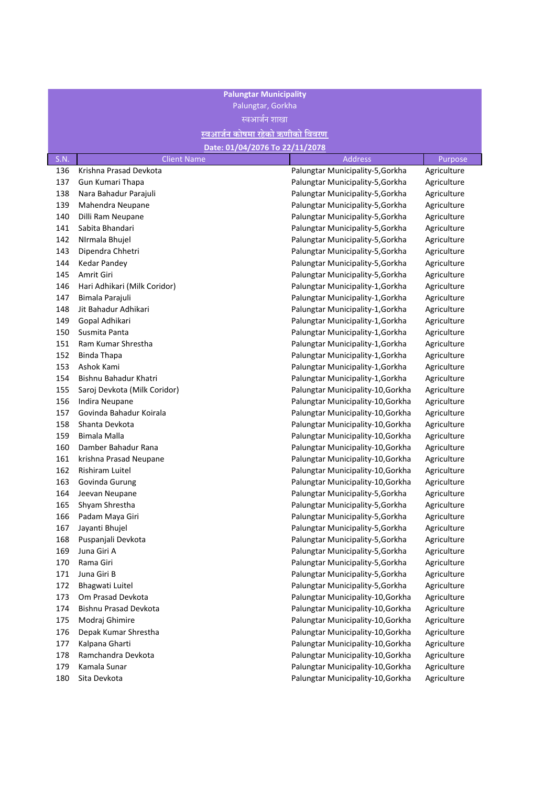| <b>Palungtar Municipality</b> |                                         |                                   |             |  |
|-------------------------------|-----------------------------------------|-----------------------------------|-------------|--|
| Palungtar, Gorkha             |                                         |                                   |             |  |
|                               | स्वआर्जन शाखा                           |                                   |             |  |
|                               | <u>स्वआर्जन कोषमा रहेको ऋणीको विवरण</u> |                                   |             |  |
|                               | Date: 01/04/2076 To 22/11/2078          |                                   |             |  |
| S.N.                          | <b>Client Name</b>                      | Address                           | Purpose     |  |
| 136                           | Krishna Prasad Devkota                  | Palungtar Municipality-5, Gorkha  | Agriculture |  |
| 137                           | Gun Kumari Thapa                        | Palungtar Municipality-5, Gorkha  | Agriculture |  |
| 138                           | Nara Bahadur Parajuli                   | Palungtar Municipality-5, Gorkha  | Agriculture |  |
| 139                           | Mahendra Neupane                        | Palungtar Municipality-5, Gorkha  | Agriculture |  |
| 140                           | Dilli Ram Neupane                       | Palungtar Municipality-5, Gorkha  | Agriculture |  |
| 141                           | Sabita Bhandari                         | Palungtar Municipality-5, Gorkha  | Agriculture |  |
| 142                           | NIrmala Bhujel                          | Palungtar Municipality-5, Gorkha  | Agriculture |  |
| 143                           | Dipendra Chhetri                        | Palungtar Municipality-5, Gorkha  | Agriculture |  |
| 144                           | <b>Kedar Pandey</b>                     | Palungtar Municipality-5, Gorkha  | Agriculture |  |
| 145                           | Amrit Giri                              | Palungtar Municipality-5, Gorkha  | Agriculture |  |
| 146                           | Hari Adhikari (Milk Coridor)            | Palungtar Municipality-1, Gorkha  | Agriculture |  |
| 147                           | Bimala Parajuli                         | Palungtar Municipality-1, Gorkha  | Agriculture |  |
| 148                           | Jit Bahadur Adhikari                    | Palungtar Municipality-1, Gorkha  | Agriculture |  |
| 149                           | Gopal Adhikari                          | Palungtar Municipality-1, Gorkha  | Agriculture |  |
| 150                           | Susmita Panta                           | Palungtar Municipality-1, Gorkha  | Agriculture |  |
| 151                           | Ram Kumar Shrestha                      | Palungtar Municipality-1, Gorkha  | Agriculture |  |
| 152                           | <b>Binda Thapa</b>                      | Palungtar Municipality-1, Gorkha  | Agriculture |  |
| 153                           | Ashok Kami                              | Palungtar Municipality-1, Gorkha  | Agriculture |  |
| 154                           | Bishnu Bahadur Khatri                   | Palungtar Municipality-1, Gorkha  | Agriculture |  |
| 155                           | Saroj Devkota (Milk Coridor)            | Palungtar Municipality-10, Gorkha | Agriculture |  |
| 156                           | Indira Neupane                          | Palungtar Municipality-10, Gorkha | Agriculture |  |
| 157                           | Govinda Bahadur Koirala                 | Palungtar Municipality-10, Gorkha | Agriculture |  |
| 158                           | Shanta Devkota                          | Palungtar Municipality-10, Gorkha | Agriculture |  |
| 159                           | Bimala Malla                            | Palungtar Municipality-10, Gorkha | Agriculture |  |
| 160                           | Damber Bahadur Rana                     | Palungtar Municipality-10, Gorkha | Agriculture |  |
| 161                           | krishna Prasad Neupane                  | Palungtar Municipality-10, Gorkha | Agriculture |  |
| 162                           | Rishiram Luitel                         | Palungtar Municipality-10, Gorkha | Agriculture |  |
| 163                           | Govinda Gurung                          | Palungtar Municipality-10, Gorkha | Agriculture |  |
| 164                           | Jeevan Neupane                          | Palungtar Municipality-5, Gorkha  | Agriculture |  |
| 165                           | Shyam Shrestha                          | Palungtar Municipality-5, Gorkha  | Agriculture |  |
| 166                           | Padam Maya Giri                         | Palungtar Municipality-5, Gorkha  | Agriculture |  |
| 167                           | Jayanti Bhujel                          | Palungtar Municipality-5, Gorkha  | Agriculture |  |
| 168                           | Puspanjali Devkota                      | Palungtar Municipality-5, Gorkha  | Agriculture |  |
| 169                           | Juna Giri A                             | Palungtar Municipality-5, Gorkha  | Agriculture |  |
| 170                           | Rama Giri                               | Palungtar Municipality-5, Gorkha  | Agriculture |  |
| 171                           | Juna Giri B                             | Palungtar Municipality-5, Gorkha  | Agriculture |  |
| 172                           | Bhagwati Luitel                         | Palungtar Municipality-5, Gorkha  | Agriculture |  |
| 173                           | Om Prasad Devkota                       | Palungtar Municipality-10, Gorkha | Agriculture |  |
| 174                           | Bishnu Prasad Devkota                   | Palungtar Municipality-10, Gorkha | Agriculture |  |
| 175                           | Modraj Ghimire                          | Palungtar Municipality-10, Gorkha | Agriculture |  |
| 176                           | Depak Kumar Shrestha                    | Palungtar Municipality-10, Gorkha | Agriculture |  |
| 177                           | Kalpana Gharti                          | Palungtar Municipality-10, Gorkha | Agriculture |  |
| 178                           | Ramchandra Devkota                      | Palungtar Municipality-10, Gorkha | Agriculture |  |
| 179                           | Kamala Sunar                            | Palungtar Municipality-10, Gorkha | Agriculture |  |
| 180                           | Sita Devkota                            | Palungtar Municipality-10, Gorkha | Agriculture |  |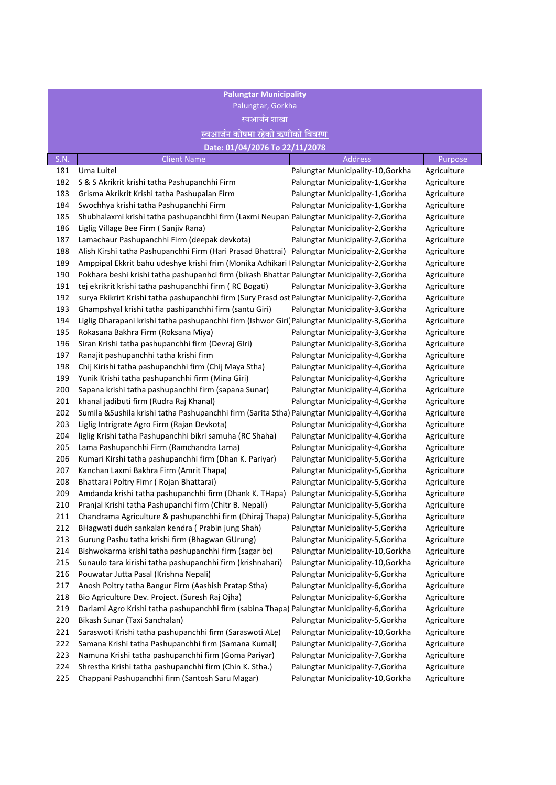| <b>Palungtar Municipality</b> |                                                                                                |                                   |             |
|-------------------------------|------------------------------------------------------------------------------------------------|-----------------------------------|-------------|
| Palungtar, Gorkha             |                                                                                                |                                   |             |
|                               | स्वआर्जन शाखा                                                                                  |                                   |             |
|                               | <u>स्वआर्जन कोषमा रहेको ऋणीको विवरण</u>                                                        |                                   |             |
|                               | Date: 01/04/2076 To 22/11/2078                                                                 |                                   |             |
| S.N.                          | <b>Client Name</b>                                                                             | <b>Address</b>                    | Purpose     |
| 181                           | Uma Luitel                                                                                     | Palungtar Municipality-10, Gorkha | Agriculture |
| 182                           | S & S Akrikrit krishi tatha Pashupanchhi Firm                                                  | Palungtar Municipality-1, Gorkha  | Agriculture |
| 183                           | Grisma Akrikrit Krishi tatha Pashupalan Firm                                                   | Palungtar Municipality-1, Gorkha  | Agriculture |
| 184                           | Swochhya krishi tatha Pashupanchhi Firm                                                        | Palungtar Municipality-1, Gorkha  | Agriculture |
| 185                           | Shubhalaxmi krishi tatha pashupanchhi firm (Laxmi Neupan Palungtar Municipality-2, Gorkha      |                                   | Agriculture |
| 186                           | Liglig Village Bee Firm (Sanjiv Rana)                                                          | Palungtar Municipality-2, Gorkha  | Agriculture |
| 187                           | Lamachaur Pashupanchhi Firm (deepak devkota)                                                   | Palungtar Municipality-2, Gorkha  | Agriculture |
| 188                           | Alish Kirshi tatha Pashupanchhi Firm (Hari Prasad Bhattrai)                                    | Palungtar Municipality-2, Gorkha  | Agriculture |
| 189                           | Amppipal Ekkrit bahu udeshye krishi frim (Monika Adhikari   Palungtar Municipality-2, Gorkha   |                                   | Agriculture |
| 190                           | Pokhara beshi krishi tatha pashupanhci firm (bikash Bhattar Palungtar Municipality-2, Gorkha   |                                   | Agriculture |
| 191                           | tej ekrikrit krishi tatha pashupanchhi firm (RC Bogati)                                        | Palungtar Municipality-3, Gorkha  | Agriculture |
| 192                           | surya Ekikrirt Krishi tatha pashupanchhi firm (Sury Prasd ost Palungtar Municipality-2, Gorkha |                                   | Agriculture |
| 193                           | Ghampshyal krishi tatha pashipanchhi firm (santu Giri)                                         | Palungtar Municipality-3, Gorkha  | Agriculture |
| 194                           | Liglig Dharapani krishi tatha pashupanchhi firm (Ishwor Giri Palungtar Municipality-3, Gorkha  |                                   | Agriculture |
| 195                           | Rokasana Bakhra Firm (Roksana Miya)                                                            | Palungtar Municipality-3, Gorkha  | Agriculture |
| 196                           | Siran Krishi tatha pashupanchhi firm (Devraj Glri)                                             | Palungtar Municipality-3, Gorkha  | Agriculture |
| 197                           | Ranajit pashupanchhi tatha krishi firm                                                         | Palungtar Municipality-4, Gorkha  | Agriculture |
| 198                           | Chij Kirishi tatha pashupanchhi firm (Chij Maya Stha)                                          | Palungtar Municipality-4, Gorkha  | Agriculture |
| 199                           | Yunik Krishi tatha pashupanchhi firm (Mina Giri)                                               | Palungtar Municipality-4, Gorkha  | Agriculture |
| 200                           | Sapana krishi tatha pashupanchhi firm (sapana Sunar)                                           | Palungtar Municipality-4, Gorkha  | Agriculture |
| 201                           | khanal jadibuti firm (Rudra Raj Khanal)                                                        | Palungtar Municipality-4, Gorkha  | Agriculture |
| 202                           | Sumila &Sushila krishi tatha Pashupanchhi firm (Sarita Stha) Palungtar Municipality-4,Gorkha   |                                   | Agriculture |
| 203                           | Liglig Intrigrate Agro Firm (Rajan Devkota)                                                    | Palungtar Municipality-4, Gorkha  | Agriculture |
| 204                           | liglig Krishi tatha Pashupanchhi bikri samuha (RC Shaha)                                       | Palungtar Municipality-4, Gorkha  | Agriculture |
| 205                           | Lama Pashupanchhi Firm (Ramchandra Lama)                                                       | Palungtar Municipality-4, Gorkha  | Agriculture |
| 206                           | Kumari Kirshi tatha pashupanchhi firm (Dhan K. Pariyar)                                        | Palungtar Municipality-5, Gorkha  | Agriculture |
| 207                           | Kanchan Laxmi Bakhra Firm (Amrit Thapa)                                                        | Palungtar Municipality-5, Gorkha  | Agriculture |
| 208                           | Bhattarai Poltry Flmr (Rojan Bhattarai)                                                        | Palungtar Municipality-5, Gorkha  | Agriculture |
| 209                           | Amdanda krishi tatha pashupanchhi firm (Dhank K. THapa)                                        | Palungtar Municipality-5, Gorkha  | Agriculture |
| 210                           | Pranjal Krishi tatha Pashupanchi firm (Chitr B. Nepali)                                        | Palungtar Municipality-5, Gorkha  | Agriculture |
| 211                           | Chandrama Agriculture & pashupanchhi firm (Dhiraj Thapa) Palungtar Municipality-5, Gorkha      |                                   | Agriculture |
| 212                           | BHagwati dudh sankalan kendra (Prabin jung Shah)                                               | Palungtar Municipality-5, Gorkha  | Agriculture |
| 213                           | Gurung Pashu tatha krishi firm (Bhagwan GUrung)                                                | Palungtar Municipality-5, Gorkha  | Agriculture |
| 214                           | Bishwokarma krishi tatha pashupanchhi firm (sagar bc)                                          | Palungtar Municipality-10, Gorkha | Agriculture |
| 215                           | Sunaulo tara kirishi tatha pashupanchhi firm (krishnahari)                                     | Palungtar Municipality-10, Gorkha | Agriculture |
| 216                           | Pouwatar Jutta Pasal (Krishna Nepali)                                                          | Palungtar Municipality-6, Gorkha  | Agriculture |
| 217                           | Anosh Poltry tatha Bangur Firm (Aashish Pratap Stha)                                           | Palungtar Municipality-6, Gorkha  | Agriculture |
| 218                           | Bio Agriculture Dev. Project. (Suresh Raj Ojha)                                                | Palungtar Municipality-6, Gorkha  | Agriculture |
| 219                           | Darlami Agro Krishi tatha pashupanchhi firm (sabina Thapa) Palungtar Municipality-6, Gorkha    |                                   | Agriculture |
| 220                           | Bikash Sunar (Taxi Sanchalan)                                                                  | Palungtar Municipality-5, Gorkha  | Agriculture |
| 221                           | Saraswoti Krishi tatha pashupanchhi firm (Saraswoti ALe)                                       | Palungtar Municipality-10, Gorkha | Agriculture |
| 222                           | Samana Krishi tatha Pashupanchhi firm (Samana Kumal)                                           | Palungtar Municipality-7, Gorkha  | Agriculture |
| 223                           | Namuna Krishi tatha pashupanchhi firm (Goma Pariyar)                                           | Palungtar Municipality-7, Gorkha  | Agriculture |
| 224                           | Shrestha Krishi tatha pashupanchhi firm (Chin K. Stha.)                                        | Palungtar Municipality-7, Gorkha  | Agriculture |
| 225                           | Chappani Pashupanchhi firm (Santosh Saru Magar)                                                | Palungtar Municipality-10, Gorkha | Agriculture |